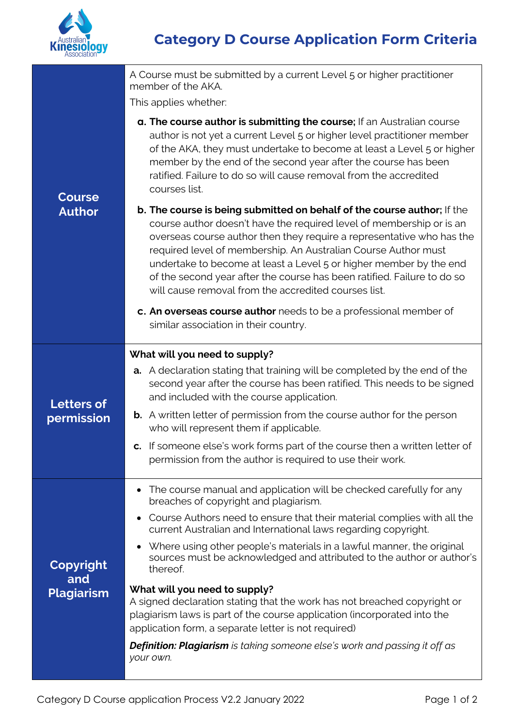

| <b>Course</b><br><b>Author</b>        | A Course must be submitted by a current Level 5 or higher practitioner<br>member of the AKA.                                                                                                                                                                                                                                                                                                                                                                                                        |
|---------------------------------------|-----------------------------------------------------------------------------------------------------------------------------------------------------------------------------------------------------------------------------------------------------------------------------------------------------------------------------------------------------------------------------------------------------------------------------------------------------------------------------------------------------|
|                                       | This applies whether:                                                                                                                                                                                                                                                                                                                                                                                                                                                                               |
|                                       | a. The course author is submitting the course; If an Australian course<br>author is not yet a current Level 5 or higher level practitioner member<br>of the AKA, they must undertake to become at least a Level 5 or higher<br>member by the end of the second year after the course has been<br>ratified. Failure to do so will cause removal from the accredited<br>courses list.                                                                                                                 |
|                                       | b. The course is being submitted on behalf of the course author; If the<br>course author doesn't have the required level of membership or is an<br>overseas course author then they require a representative who has the<br>required level of membership. An Australian Course Author must<br>undertake to become at least a Level 5 or higher member by the end<br>of the second year after the course has been ratified. Failure to do so<br>will cause removal from the accredited courses list. |
|                                       | c. An overseas course author needs to be a professional member of<br>similar association in their country.                                                                                                                                                                                                                                                                                                                                                                                          |
|                                       | What will you need to supply?                                                                                                                                                                                                                                                                                                                                                                                                                                                                       |
| <b>Letters of</b><br>permission       | <b>a.</b> A declaration stating that training will be completed by the end of the<br>second year after the course has been ratified. This needs to be signed<br>and included with the course application.                                                                                                                                                                                                                                                                                           |
|                                       | <b>b.</b> A written letter of permission from the course author for the person<br>who will represent them if applicable.                                                                                                                                                                                                                                                                                                                                                                            |
|                                       | c. If someone else's work forms part of the course then a written letter of<br>permission from the author is required to use their work.                                                                                                                                                                                                                                                                                                                                                            |
| Copyright<br>and<br><b>Plagiarism</b> | The course manual and application will be checked carefully for any<br>breaches of copyright and plagiarism.                                                                                                                                                                                                                                                                                                                                                                                        |
|                                       | Course Authors need to ensure that their material complies with all the<br>current Australian and International laws regarding copyright.                                                                                                                                                                                                                                                                                                                                                           |
|                                       | Where using other people's materials in a lawful manner, the original<br>sources must be acknowledged and attributed to the author or author's<br>thereof.                                                                                                                                                                                                                                                                                                                                          |
|                                       | What will you need to supply?<br>A signed declaration stating that the work has not breached copyright or<br>plagiarism laws is part of the course application (incorporated into the<br>application form, a separate letter is not required)                                                                                                                                                                                                                                                       |
|                                       | <b>Definition: Plagiarism</b> is taking someone else's work and passing it off as<br>your own.                                                                                                                                                                                                                                                                                                                                                                                                      |